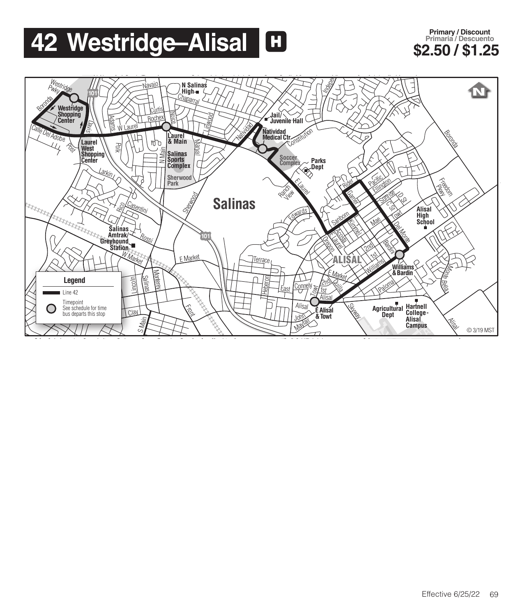## **42 Westridge–Alisal <b>H Eximally Primary Discount**

## **Primary / Discount Primaria / Descuento**